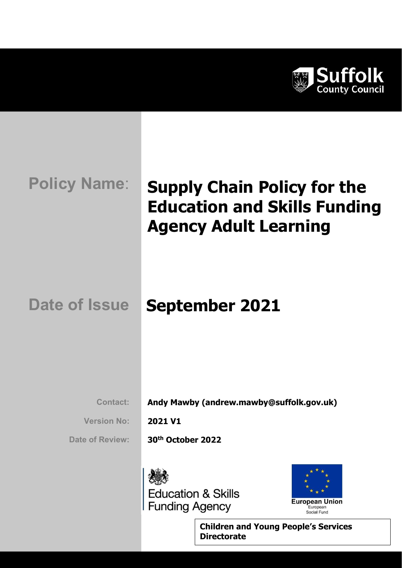

# Policy Name: Supply Chain Policy for the Education and Skills Funding Agency Adult Learning

# Date of Issue September 2021

Contact: Andy Mawby (andrew.mawby@suffolk.gov.uk)

Version No: 2021 V1

Date of Review: 30<sup>th</sup> October 2022





Children and Young People's Services **Directorate**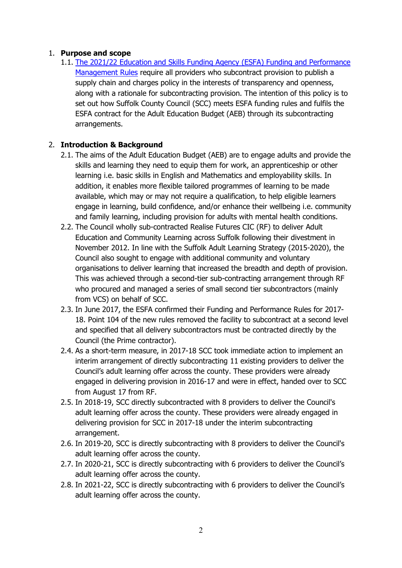### 1. Purpose and scope

1.1. The 2021/22 Education and Skills Funding Agency (ESFA) Funding and Performance Management Rules require all providers who subcontract provision to publish a supply chain and charges policy in the interests of transparency and openness, along with a rationale for subcontracting provision. The intention of this policy is to set out how Suffolk County Council (SCC) meets ESFA funding rules and fulfils the ESFA contract for the Adult Education Budget (AEB) through its subcontracting arrangements.

# 2. Introduction & Background

- 2.1. The aims of the Adult Education Budget (AEB) are to engage adults and provide the skills and learning they need to equip them for work, an apprenticeship or other learning i.e. basic skills in English and Mathematics and employability skills. In addition, it enables more flexible tailored programmes of learning to be made available, which may or may not require a qualification, to help eligible learners engage in learning, build confidence, and/or enhance their wellbeing i.e. community and family learning, including provision for adults with mental health conditions.
- 2.2. The Council wholly sub-contracted Realise Futures CIC (RF) to deliver Adult Education and Community Learning across Suffolk following their divestment in November 2012. In line with the Suffolk Adult Learning Strategy (2015-2020), the Council also sought to engage with additional community and voluntary organisations to deliver learning that increased the breadth and depth of provision. This was achieved through a second-tier sub-contracting arrangement through RF who procured and managed a series of small second tier subcontractors (mainly from VCS) on behalf of SCC.
- 2.3. In June 2017, the ESFA confirmed their Funding and Performance Rules for 2017- 18. Point 104 of the new rules removed the facility to subcontract at a second level and specified that all delivery subcontractors must be contracted directly by the Council (the Prime contractor).
- 2.4. As a short-term measure, in 2017-18 SCC took immediate action to implement an interim arrangement of directly subcontracting 11 existing providers to deliver the Council's adult learning offer across the county. These providers were already engaged in delivering provision in 2016-17 and were in effect, handed over to SCC from August 17 from RF.
- 2.5. In 2018-19, SCC directly subcontracted with 8 providers to deliver the Council's adult learning offer across the county. These providers were already engaged in delivering provision for SCC in 2017-18 under the interim subcontracting arrangement.
- 2.6. In 2019-20, SCC is directly subcontracting with 8 providers to deliver the Council's adult learning offer across the county.
- 2.7. In 2020-21, SCC is directly subcontracting with 6 providers to deliver the Council's adult learning offer across the county.
- 2.8. In 2021-22, SCC is directly subcontracting with 6 providers to deliver the Council's adult learning offer across the county.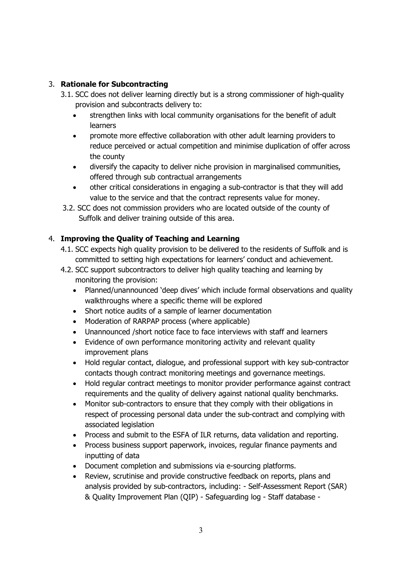# 3. Rationale for Subcontracting

- 3.1. SCC does not deliver learning directly but is a strong commissioner of high-quality provision and subcontracts delivery to:
	- strengthen links with local community organisations for the benefit of adult learners
	- promote more effective collaboration with other adult learning providers to reduce perceived or actual competition and minimise duplication of offer across the county
	- diversify the capacity to deliver niche provision in marginalised communities, offered through sub contractual arrangements
	- other critical considerations in engaging a sub-contractor is that they will add value to the service and that the contract represents value for money.
- 3.2. SCC does not commission providers who are located outside of the county of Suffolk and deliver training outside of this area.

# 4. Improving the Quality of Teaching and Learning

- 4.1. SCC expects high quality provision to be delivered to the residents of Suffolk and is committed to setting high expectations for learners' conduct and achievement.
- 4.2. SCC support subcontractors to deliver high quality teaching and learning by monitoring the provision:
	- Planned/unannounced 'deep dives' which include formal observations and quality walkthroughs where a specific theme will be explored
	- Short notice audits of a sample of learner documentation
	- Moderation of RARPAP process (where applicable)
	- Unannounced /short notice face to face interviews with staff and learners
	- Evidence of own performance monitoring activity and relevant quality improvement plans
	- Hold regular contact, dialogue, and professional support with key sub-contractor contacts though contract monitoring meetings and governance meetings.
	- Hold regular contract meetings to monitor provider performance against contract requirements and the quality of delivery against national quality benchmarks.
	- Monitor sub-contractors to ensure that they comply with their obligations in respect of processing personal data under the sub-contract and complying with associated legislation
	- Process and submit to the ESFA of ILR returns, data validation and reporting.
	- Process business support paperwork, invoices, regular finance payments and inputting of data
	- Document completion and submissions via e-sourcing platforms.
	- Review, scrutinise and provide constructive feedback on reports, plans and analysis provided by sub-contractors, including: - Self-Assessment Report (SAR) & Quality Improvement Plan (QIP) - Safeguarding log - Staff database -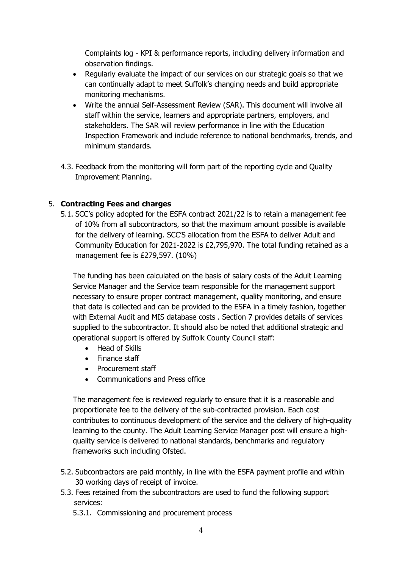Complaints log - KPI & performance reports, including delivery information and observation findings.

- Regularly evaluate the impact of our services on our strategic goals so that we can continually adapt to meet Suffolk's changing needs and build appropriate monitoring mechanisms.
- Write the annual Self-Assessment Review (SAR). This document will involve all staff within the service, learners and appropriate partners, employers, and stakeholders. The SAR will review performance in line with the Education Inspection Framework and include reference to national benchmarks, trends, and minimum standards.
- 4.3. Feedback from the monitoring will form part of the reporting cycle and Quality Improvement Planning.

#### 5. Contracting Fees and charges

5.1. SCC's policy adopted for the ESFA contract 2021/22 is to retain a management fee of 10% from all subcontractors, so that the maximum amount possible is available for the delivery of learning. SCC'S allocation from the ESFA to deliver Adult and Community Education for 2021-2022 is £2,795,970. The total funding retained as a management fee is £279,597. (10%)

The funding has been calculated on the basis of salary costs of the Adult Learning Service Manager and the Service team responsible for the management support necessary to ensure proper contract management, quality monitoring, and ensure that data is collected and can be provided to the ESFA in a timely fashion, together with External Audit and MIS database costs . Section 7 provides details of services supplied to the subcontractor. It should also be noted that additional strategic and operational support is offered by Suffolk County Council staff:

- Head of Skills
- Finance staff
- Procurement staff
- Communications and Press office

The management fee is reviewed regularly to ensure that it is a reasonable and proportionate fee to the delivery of the sub-contracted provision. Each cost contributes to continuous development of the service and the delivery of high-quality learning to the county. The Adult Learning Service Manager post will ensure a highquality service is delivered to national standards, benchmarks and regulatory frameworks such including Ofsted.

- 5.2. Subcontractors are paid monthly, in line with the ESFA payment profile and within 30 working days of receipt of invoice.
- 5.3. Fees retained from the subcontractors are used to fund the following support services:
	- 5.3.1. Commissioning and procurement process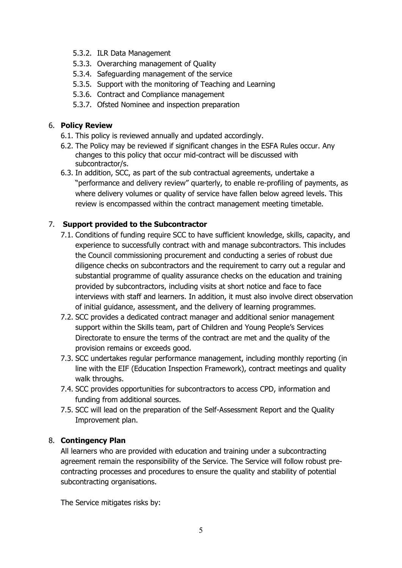- 5.3.2. ILR Data Management
- 5.3.3. Overarching management of Quality
- 5.3.4. Safeguarding management of the service
- 5.3.5. Support with the monitoring of Teaching and Learning
- 5.3.6. Contract and Compliance management
- 5.3.7. Ofsted Nominee and inspection preparation

### 6. Policy Review

- 6.1. This policy is reviewed annually and updated accordingly.
- 6.2. The Policy may be reviewed if significant changes in the ESFA Rules occur. Any changes to this policy that occur mid-contract will be discussed with subcontractor/s.
- 6.3. In addition, SCC, as part of the sub contractual agreements, undertake a "performance and delivery review" quarterly, to enable re-profiling of payments, as where delivery volumes or quality of service have fallen below agreed levels. This review is encompassed within the contract management meeting timetable.

# 7. Support provided to the Subcontractor

- 7.1. Conditions of funding require SCC to have sufficient knowledge, skills, capacity, and experience to successfully contract with and manage subcontractors. This includes the Council commissioning procurement and conducting a series of robust due diligence checks on subcontractors and the requirement to carry out a regular and substantial programme of quality assurance checks on the education and training provided by subcontractors, including visits at short notice and face to face interviews with staff and learners. In addition, it must also involve direct observation of initial guidance, assessment, and the delivery of learning programmes.
- 7.2. SCC provides a dedicated contract manager and additional senior management support within the Skills team, part of Children and Young People's Services Directorate to ensure the terms of the contract are met and the quality of the provision remains or exceeds good.
- 7.3. SCC undertakes regular performance management, including monthly reporting (in line with the EIF (Education Inspection Framework), contract meetings and quality walk throughs.
- 7.4. SCC provides opportunities for subcontractors to access CPD, information and funding from additional sources.
- 7.5. SCC will lead on the preparation of the Self-Assessment Report and the Quality Improvement plan.

#### 8. Contingency Plan

All learners who are provided with education and training under a subcontracting agreement remain the responsibility of the Service. The Service will follow robust precontracting processes and procedures to ensure the quality and stability of potential subcontracting organisations.

The Service mitigates risks by: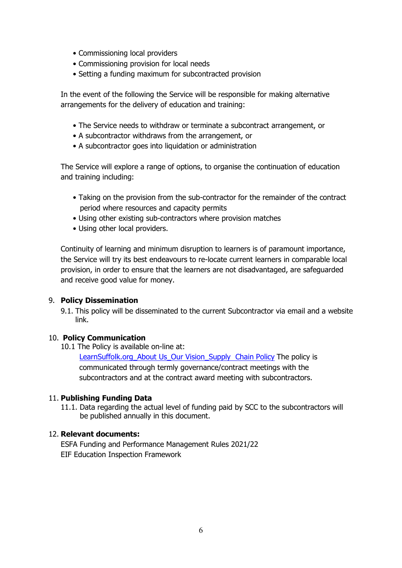- Commissioning local providers
- Commissioning provision for local needs
- Setting a funding maximum for subcontracted provision

In the event of the following the Service will be responsible for making alternative arrangements for the delivery of education and training:

- The Service needs to withdraw or terminate a subcontract arrangement, or
- A subcontractor withdraws from the arrangement, or
- A subcontractor goes into liquidation or administration

The Service will explore a range of options, to organise the continuation of education and training including:

- Taking on the provision from the sub-contractor for the remainder of the contract period where resources and capacity permits
- Using other existing sub-contractors where provision matches
- Using other local providers.

Continuity of learning and minimum disruption to learners is of paramount importance, the Service will try its best endeavours to re-locate current learners in comparable local provision, in order to ensure that the learners are not disadvantaged, are safeguarded and receive good value for money.

#### 9. Policy Dissemination

9.1. This policy will be disseminated to the current Subcontractor via email and a website link.

#### 10. Policy Communication

10.1 The Policy is available on-line at:

LearnSuffolk.org\_About Us\_Our Vision\_Supply Chain Policy The policy is communicated through termly governance/contract meetings with the subcontractors and at the contract award meeting with subcontractors.

#### 11. Publishing Funding Data

11.1. Data regarding the actual level of funding paid by SCC to the subcontractors will be published annually in this document.

#### 12. Relevant documents:

ESFA Funding and Performance Management Rules 2021/22 EIF Education Inspection Framework